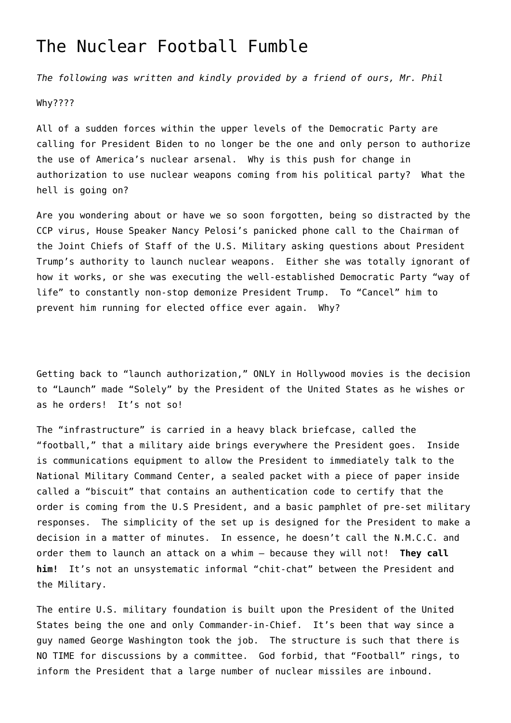## [The Nuclear Football Fumble](https://www.americanexperience.is/2021/03/02/the-nuclear-football-fumble/)

*The following was written and kindly provided by a friend of ours, Mr. Phil*

Why????

All of a sudden forces within the upper levels of the Democratic Party are calling for President Biden to no longer be the one and only person to authorize the use of America's nuclear arsenal. Why is this push for change in authorization to use nuclear weapons coming from his political party? What the hell is going on?

Are you wondering about or have we so soon forgotten, being so distracted by the CCP virus, House Speaker Nancy Pelosi's panicked phone call to the Chairman of the Joint Chiefs of Staff of the U.S. Military asking questions about President Trump's authority to launch nuclear weapons. Either she was totally ignorant of how it works, or she was executing the well-established Democratic Party "way of life" to constantly non-stop demonize President Trump. To "Cancel" him to prevent him running for elected office ever again. Why?

Getting back to "launch authorization," ONLY in Hollywood movies is the decision to "Launch" made "Solely" by the President of the United States as he wishes or as he orders! It's not so!

The "infrastructure" is carried in a heavy black briefcase, called the "football," that a military aide brings everywhere the President goes. Inside is communications equipment to allow the President to immediately talk to the National Military Command Center, a sealed packet with a piece of paper inside called a "biscuit" that contains an authentication code to certify that the order is coming from the U.S President, and a basic pamphlet of pre-set military responses. The simplicity of the set up is designed for the President to make a decision in a matter of minutes. In essence, he doesn't call the N.M.C.C. and order them to launch an attack on a whim – because they will not! **They call him!** It's not an unsystematic informal "chit-chat" between the President and the Military.

The entire U.S. military foundation is built upon the President of the United States being the one and only Commander-in-Chief. It's been that way since a guy named George Washington took the job. The structure is such that there is NO TIME for discussions by a committee. God forbid, that "Football" rings, to inform the President that a large number of nuclear missiles are inbound.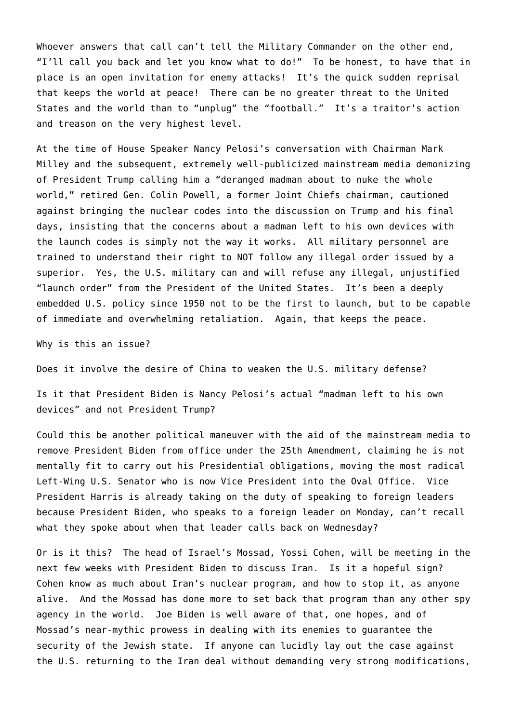Whoever answers that call can't tell the Military Commander on the other end, "I'll call you back and let you know what to do!" To be honest, to have that in place is an open invitation for enemy attacks! It's the quick sudden reprisal that keeps the world at peace! There can be no greater threat to the United States and the world than to "unplug" the "football." It's a traitor's action and treason on the very highest level.

At the time of House Speaker Nancy Pelosi's conversation with Chairman Mark Milley and the subsequent, extremely well-publicized mainstream media demonizing of President Trump calling him a "deranged madman about to nuke the whole world," retired Gen. Colin Powell, a former Joint Chiefs chairman, cautioned against bringing the nuclear codes into the discussion on Trump and his final days, insisting that the concerns about a madman left to his own devices with the launch codes is simply not the way it works. All military personnel are trained to understand their right to NOT follow any illegal order issued by a superior. Yes, the U.S. military can and will refuse any illegal, unjustified "launch order" from the President of the United States. It's been a deeply embedded U.S. policy since 1950 not to be the first to launch, but to be capable of immediate and overwhelming retaliation. Again, that keeps the peace.

Why is this an issue?

Does it involve the desire of China to weaken the U.S. military defense?

Is it that President Biden is Nancy Pelosi's actual "madman left to his own devices" and not President Trump?

Could this be another political maneuver with the aid of the mainstream media to remove President Biden from office under the 25th Amendment, claiming he is not mentally fit to carry out his Presidential obligations, moving the most radical Left-Wing U.S. Senator who is now Vice President into the Oval Office. Vice President Harris is already taking on the duty of speaking to foreign leaders because President Biden, who speaks to a foreign leader on Monday, can't recall what they spoke about when that leader calls back on Wednesday?

Or is it this? The head of Israel's Mossad, Yossi Cohen, will be meeting in the next few weeks with President Biden to discuss Iran. Is it a hopeful sign? Cohen know as much about Iran's nuclear program, and how to stop it, as anyone alive. And the Mossad has done more to set back that program than any other spy agency in the world. Joe Biden is well aware of that, one hopes, and of Mossad's near-mythic prowess in dealing with its enemies to guarantee the security of the Jewish state. If anyone can lucidly lay out the case against the U.S. returning to the Iran deal without demanding very strong modifications,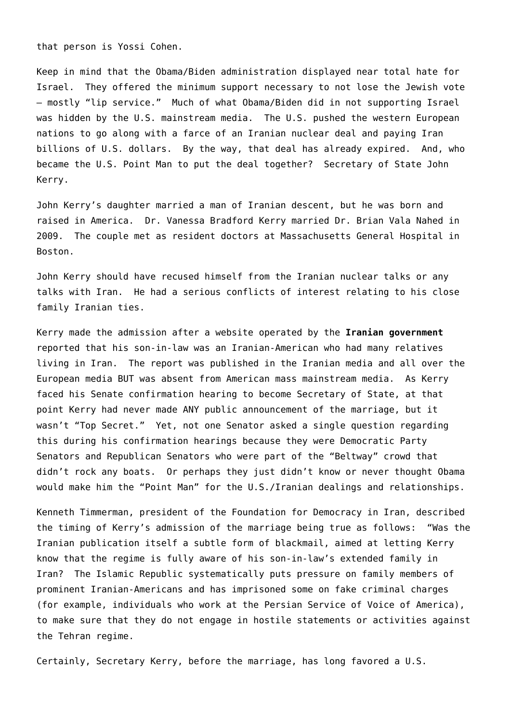that person is Yossi Cohen.

Keep in mind that the Obama/Biden administration displayed near total hate for Israel. They offered the minimum support necessary to not lose the Jewish vote – mostly "lip service." Much of what Obama/Biden did in not supporting Israel was hidden by the U.S. mainstream media. The U.S. pushed the western European nations to go along with a farce of an Iranian nuclear deal and paying Iran billions of U.S. dollars. By the way, that deal has already expired. And, who became the U.S. Point Man to put the deal together? Secretary of State John Kerry.

John Kerry's daughter married a man of Iranian descent, but he was born and raised in America. Dr. Vanessa Bradford Kerry married Dr. Brian Vala Nahed in 2009. The couple met as resident doctors at Massachusetts General Hospital in Boston.

John Kerry should have recused himself from the Iranian nuclear talks or any talks with Iran. He had a serious conflicts of interest relating to his close family Iranian ties.

Kerry made the admission after a website operated by the **Iranian government** reported that his son-in-law was an Iranian-American who had many relatives living in Iran. The report was published in the Iranian media and all over the European media BUT was absent from American mass mainstream media. As Kerry faced his Senate confirmation hearing to become Secretary of State, at that point Kerry had never made ANY public announcement of the marriage, but it wasn't "Top Secret." Yet, not one Senator asked a single question regarding this during his confirmation hearings because they were Democratic Party Senators and Republican Senators who were part of the "Beltway" crowd that didn't rock any boats. Or perhaps they just didn't know or never thought Obama would make him the "Point Man" for the U.S./Iranian dealings and relationships.

Kenneth Timmerman, president of the Foundation for Democracy in Iran, described the timing of Kerry's admission of the marriage being true as follows: "Was the Iranian publication itself a subtle form of blackmail, aimed at letting Kerry know that the regime is fully aware of his son-in-law's extended family in Iran? The Islamic Republic systematically puts pressure on family members of prominent Iranian-Americans and has imprisoned some on fake criminal charges (for example, individuals who work at the Persian Service of Voice of America), to make sure that they do not engage in hostile statements or activities against the Tehran regime.

Certainly, Secretary Kerry, before the marriage, has long favored a U.S.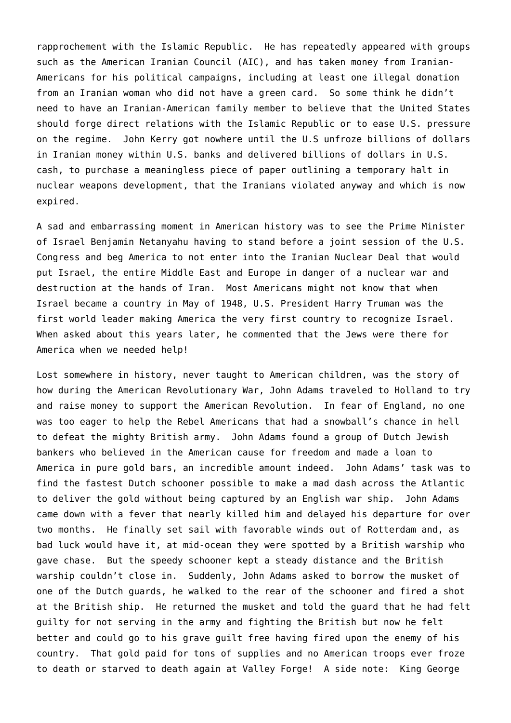rapprochement with the Islamic Republic. He has repeatedly appeared with groups such as the American Iranian Council (AIC), and has taken money from Iranian-Americans for his political campaigns, including at least one illegal donation from an Iranian woman who did not have a green card. So some think he didn't need to have an Iranian-American family member to believe that the United States should forge direct relations with the Islamic Republic or to ease U.S. pressure on the regime. John Kerry got nowhere until the U.S unfroze billions of dollars in Iranian money within U.S. banks and delivered billions of dollars in U.S. cash, to purchase a meaningless piece of paper outlining a temporary halt in nuclear weapons development, that the Iranians violated anyway and which is now expired.

A sad and embarrassing moment in American history was to see the Prime Minister of Israel Benjamin Netanyahu having to stand before a joint session of the U.S. Congress and beg America to not enter into the Iranian Nuclear Deal that would put Israel, the entire Middle East and Europe in danger of a nuclear war and destruction at the hands of Iran. Most Americans might not know that when Israel became a country in May of 1948, U.S. President Harry Truman was the first world leader making America the very first country to recognize Israel. When asked about this years later, he commented that the Jews were there for America when we needed help!

Lost somewhere in history, never taught to American children, was the story of how during the American Revolutionary War, John Adams traveled to Holland to try and raise money to support the American Revolution. In fear of England, no one was too eager to help the Rebel Americans that had a snowball's chance in hell to defeat the mighty British army. John Adams found a group of Dutch Jewish bankers who believed in the American cause for freedom and made a loan to America in pure gold bars, an incredible amount indeed. John Adams' task was to find the fastest Dutch schooner possible to make a mad dash across the Atlantic to deliver the gold without being captured by an English war ship. John Adams came down with a fever that nearly killed him and delayed his departure for over two months. He finally set sail with favorable winds out of Rotterdam and, as bad luck would have it, at mid-ocean they were spotted by a British warship who gave chase. But the speedy schooner kept a steady distance and the British warship couldn't close in. Suddenly, John Adams asked to borrow the musket of one of the Dutch guards, he walked to the rear of the schooner and fired a shot at the British ship. He returned the musket and told the guard that he had felt guilty for not serving in the army and fighting the British but now he felt better and could go to his grave guilt free having fired upon the enemy of his country. That gold paid for tons of supplies and no American troops ever froze to death or starved to death again at Valley Forge! A side note: King George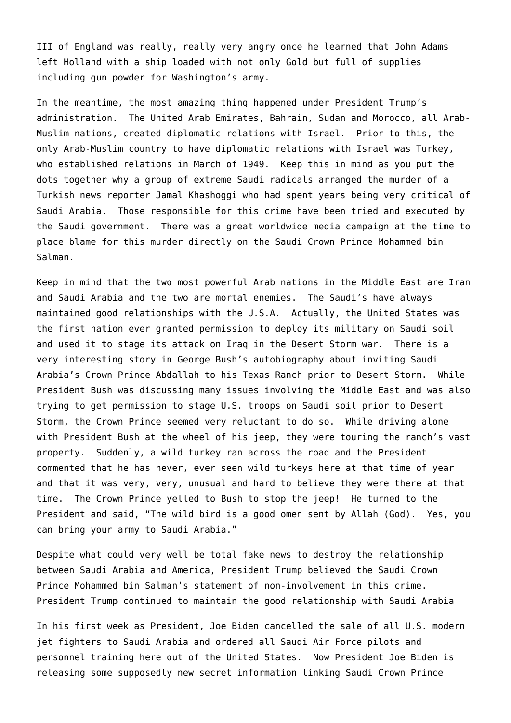III of England was really, really very angry once he learned that John Adams left Holland with a ship loaded with not only Gold but full of supplies including gun powder for Washington's army.

In the meantime, the most amazing thing happened under President Trump's administration. The United Arab Emirates, Bahrain, Sudan and Morocco, all Arab-Muslim nations, created diplomatic relations with Israel. Prior to this, the only Arab-Muslim country to have diplomatic relations with Israel was Turkey, who established relations in March of 1949. Keep this in mind as you put the dots together why a group of extreme Saudi radicals arranged the murder of a Turkish news reporter Jamal Khashoggi who had spent years being very critical of Saudi Arabia. Those responsible for this crime have been tried and executed by the Saudi government. There was a great worldwide media campaign at the time to place blame for this murder directly on the Saudi Crown Prince Mohammed bin Salman.

Keep in mind that the two most powerful Arab nations in the Middle East are Iran and Saudi Arabia and the two are mortal enemies. The Saudi's have always maintained good relationships with the U.S.A. Actually, the United States was the first nation ever granted permission to deploy its military on Saudi soil and used it to stage its attack on Iraq in the Desert Storm war. There is a very interesting story in George Bush's autobiography about inviting Saudi Arabia's Crown Prince Abdallah to his Texas Ranch prior to Desert Storm. While President Bush was discussing many issues involving the Middle East and was also trying to get permission to stage U.S. troops on Saudi soil prior to Desert Storm, the Crown Prince seemed very reluctant to do so. While driving alone with President Bush at the wheel of his jeep, they were touring the ranch's vast property. Suddenly, a wild turkey ran across the road and the President commented that he has never, ever seen wild turkeys here at that time of year and that it was very, very, unusual and hard to believe they were there at that time. The Crown Prince yelled to Bush to stop the jeep! He turned to the President and said, "The wild bird is a good omen sent by Allah (God). Yes, you can bring your army to Saudi Arabia."

Despite what could very well be total fake news to destroy the relationship between Saudi Arabia and America, President Trump believed the Saudi Crown Prince Mohammed bin Salman's statement of non-involvement in this crime. President Trump continued to maintain the good relationship with Saudi Arabia

In his first week as President, Joe Biden cancelled the sale of all U.S. modern jet fighters to Saudi Arabia and ordered all Saudi Air Force pilots and personnel training here out of the United States. Now President Joe Biden is releasing some supposedly new secret information linking Saudi Crown Prince